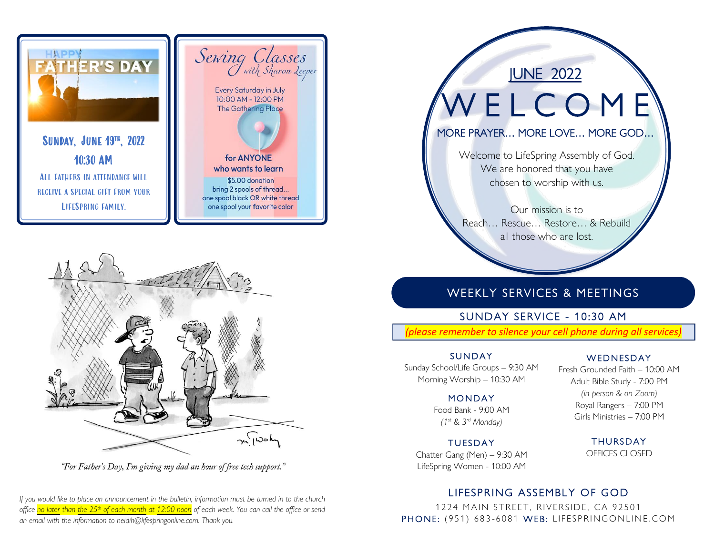

SUNDAY, JUNE 19™, 2022 10:30 AM ALL FATHERS IN ATTENDANCE WILL receive a special gift from your LifeSpring family.





"For Father's Day, I'm giving my dad an hour of free tech support."

*If you would like to place an announcement in the bulletin, information must be turned in to the church office no later than the 25th of each month at 12:00 noon of each week. You can call the office or send an email with the information to heidih@lifespringonline.com. Thank you.*

W E L C O M E

JUNE 2022

MORE PRAYER… MORE LOVE… MORE GOD…

Welcome to LifeSpring Assembly of God. We are honored that you have chosen to worship with us.

Our mission is to Reach… Rescue… Restore… & Rebuild all those who are lost.

## WEEKLY SERVICES & MEETINGS

## SUNDAY SERVICE - 10:30 AM

*(please remember to silence your cell phone during all services)*

### j **SUNDAY**

Sunday School/Life Groups – 9:30 AM Morning Worship – 10:30 AM

### **MONDAY**

Food Bank - 9:00 AM *(1st & 3rd Monday)*

## **TUESDAY**

Chatter Gang (Men) – 9:30 AM LifeSpring Women - 10:00 AM

## **WEDNESDAY**

֚֚֬֕

Fresh Grounded Faith – 10:00 AM Adult Bible Study - 7:00 PM *(in person & on Zoom)* Royal Rangers – 7:00 PM Girls Ministries – 7:00 PM

> THURSDAY OFFICES CLOSED

## LIFESPRING ASSEMBLY OF GOD

1224 MAIN STREET, RIVERSIDE, CA 92501 PHONE: (951) 683-6081 WEB: LIFESPRINGONLINE.COM